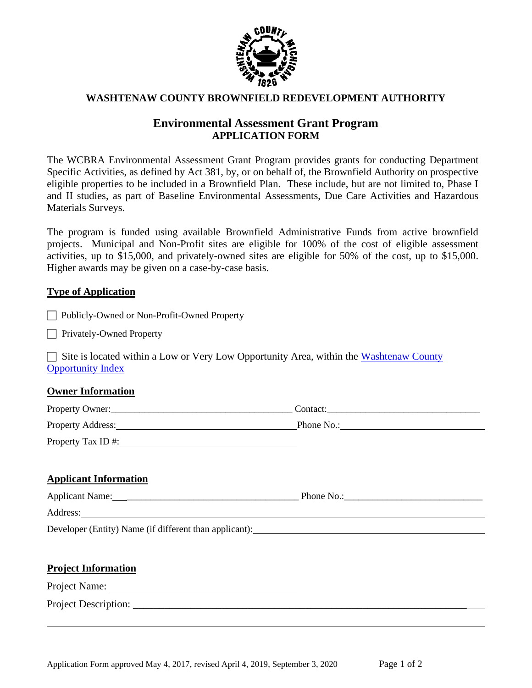

### **WASHTENAW COUNTY BROWNFIELD REDEVELOPMENT AUTHORITY**

# **Environmental Assessment Grant Program APPLICATION FORM**

The WCBRA Environmental Assessment Grant Program provides grants for conducting Department Specific Activities, as defined by Act 381, by, or on behalf of, the Brownfield Authority on prospective eligible properties to be included in a Brownfield Plan. These include, but are not limited to, Phase I and II studies, as part of Baseline Environmental Assessments, Due Care Activities and Hazardous Materials Surveys.

The program is funded using available Brownfield Administrative Funds from active brownfield projects. Municipal and Non-Profit sites are eligible for 100% of the cost of eligible assessment activities, up to \$15,000, and privately-owned sites are eligible for 50% of the cost, up to \$15,000. Higher awards may be given on a case-by-case basis.

### **Type of Application**

|  | Publicly-Owned or Non-Profit-Owned Property |  |  |  |  |
|--|---------------------------------------------|--|--|--|--|
|--|---------------------------------------------|--|--|--|--|

**Privately-Owned Property** 

 $\Box$  Site is located within a Low or Very Low Opportunity Area, within the Washtenaw County [Opportunity Index](http://kirwan.maps.arcgis.com/home/webmap/viewer.html?webmap=383e583834b540bc98d5bf094bcaea8b&extent=-84.3438,42.0347,-83.3297,42.4718)

## **Owner Information**

| Property Owner:    | Contact:   |
|--------------------|------------|
| Property Address:  | Phone No.: |
| Property Tax ID #: |            |

## **Applicant Information**

| <b>Applicant Name:</b> | Phone No.: |
|------------------------|------------|
| Address:               |            |

Developer (Entity) Name (if different than applicant):

### **Project Information**

Project Name:

Project Description: \_\_\_\_\_\_\_\_\_\_\_\_\_\_\_\_\_\_\_\_\_\_\_\_\_\_\_\_\_\_\_\_\_\_\_\_\_\_\_\_\_\_\_\_\_\_\_\_\_\_\_\_\_\_\_\_\_\_\_\_\_\_\_\_